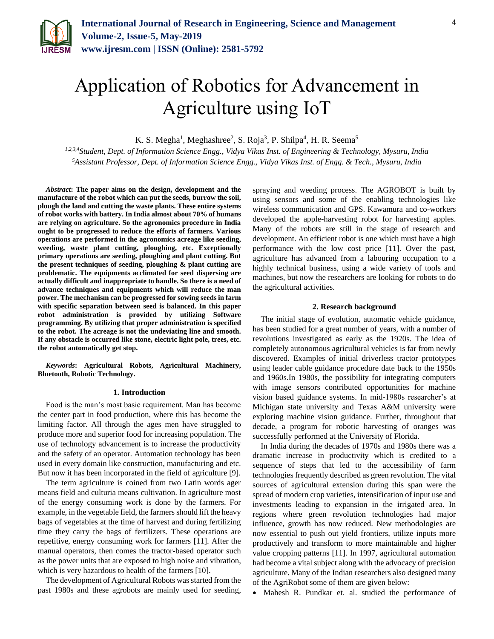

K. S. Megha<sup>1</sup>, Meghashree<sup>2</sup>, S. Roja<sup>3</sup>, P. Shilpa<sup>4</sup>, H. R. Seema<sup>5</sup>

*1,2,3,4Student, Dept. of Information Science Engg., Vidya Vikas Inst. of Engineering & Technology, Mysuru, India <sup>5</sup>Assistant Professor, Dept. of Information Science Engg., Vidya Vikas Inst. of Engg. & Tech., Mysuru, India*

*Abstract***: The paper aims on the design, development and the manufacture of the robot which can put the seeds, burrow the soil, plough the land and cutting the waste plants. These entire systems of robot works with battery. In India almost about 70% of humans are relying on agriculture. So the agronomics procedure in India ought to be progressed to reduce the efforts of farmers. Various operations are performed in the agronomics acreage like seeding, weeding, waste plant cutting, ploughing, etc. Exceptionally primary operations are seeding, ploughing and plant cutting. But the present techniques of seeding, ploughing & plant cutting are problematic. The equipments acclimated for seed dispersing are actually difficult and inappropriate to handle. So there is a need of advance techniques and equipments which will reduce the man power. The mechanism can be progressed for sowing seeds in farm with specific separation between seed is balanced. In this paper robot administration is provided by utilizing Software programming. By utilizing that proper administration is specified to the robot. The acreage is not the undeviating line and smooth. If any obstacle is occurred like stone, electric light pole, trees, etc. the robot automatically get stop.**

*Keywords***: Agricultural Robots, Agricultural Machinery, Bluetooth, Robotic Technology.** 

#### **1. Introduction**

Food is the man's most basic requirement. Man has become the center part in food production, where this has become the limiting factor. All through the ages men have struggled to produce more and superior food for increasing population. The use of technology advancement is to increase the productivity and the safety of an operator. Automation technology has been used in every domain like construction, manufacturing and etc. But now it has been incorporated in the field of agriculture [9].

The term agriculture is coined from two Latin words ager means field and culturia means cultivation. In agriculture most of the energy consuming work is done by the farmers. For example, in the vegetable field, the farmers should lift the heavy bags of vegetables at the time of harvest and during fertilizing time they carry the bags of fertilizers. These operations are repetitive, energy consuming work for farmers [11]. After the manual operators, then comes the tractor-based operator such as the power units that are exposed to high noise and vibration, which is very hazardous to health of the farmers [10].

The development of Agricultural Robots was started from the past 1980s and these agrobots are mainly used for seeding, spraying and weeding process. The AGROBOT is built by using sensors and some of the enabling technologies like wireless communication and GPS. Kawamura and co-workers developed the apple-harvesting robot for harvesting apples. Many of the robots are still in the stage of research and development. An efficient robot is one which must have a high performance with the low cost price [11]. Over the past, agriculture has advanced from a labouring occupation to a highly technical business, using a wide variety of tools and machines, but now the researchers are looking for robots to do the agricultural activities.

## **2. Research background**

The initial stage of evolution, automatic vehicle guidance, has been studied for a great number of years, with a number of revolutions investigated as early as the 1920s. The idea of completely autonomous agricultural vehicles is far from newly discovered. Examples of initial driverless tractor prototypes using leader cable guidance procedure date back to the 1950s and 1960s.In 1980s, the possibility for integrating computers with image sensors contributed opportunities for machine vision based guidance systems. In mid-1980s researcher's at Michigan state university and Texas A&M university were exploring machine vision guidance. Further, throughout that decade, a program for robotic harvesting of oranges was successfully performed at the University of Florida.

In India during the decades of 1970s and 1980s there was a dramatic increase in productivity which is credited to a sequence of steps that led to the accessibility of farm technologies frequently described as green revolution. The vital sources of agricultural extension during this span were the spread of modern crop varieties, intensification of input use and investments leading to expansion in the irrigated area. In regions where green revolution technologies had major influence, growth has now reduced. New methodologies are now essential to push out yield frontiers, utilize inputs more productively and transform to more maintainable and higher value cropping patterns [11]. In 1997, agricultural automation had become a vital subject along with the advocacy of precision agriculture. Many of the Indian researchers also designed many of the AgriRobot some of them are given below:

Mahesh R. Pundkar et. al. studied the performance of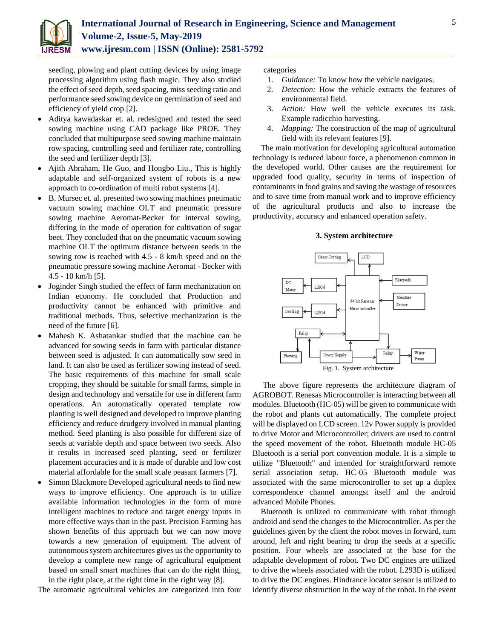

seeding, plowing and plant cutting devices by using image processing algorithm using flash magic. They also studied the effect of seed depth, seed spacing, miss seeding ratio and performance seed sowing device on germination of seed and efficiency of yield crop [2].

- Aditya kawadaskar et. al. redesigned and tested the seed sowing machine using CAD package like PROE. They concluded that multipurpose seed sowing machine maintain row spacing, controlling seed and fertilizer rate, controlling the seed and fertilizer depth [3].
- Ajith Abraham, He Guo, and Hongbo Liu., This is highly adaptable and self-organized system of robots is a new approach to co-ordination of multi robot systems [4].
- B. Mursec et. al. presented two sowing machines pneumatic vacuum sowing machine OLT and pneumatic pressure sowing machine Aeromat-Becker for interval sowing, differing in the mode of operation for cultivation of sugar beet. They concluded that on the pneumatic vacuum sowing machine OLT the optimum distance between seeds in the sowing row is reached with 4.5 - 8 km/h speed and on the pneumatic pressure sowing machine Aeromat - Becker with  $4.5 - 10$  km/h [5].
- Joginder Singh studied the effect of farm mechanization on Indian economy. He concluded that Production and productivity cannot be enhanced with primitive and traditional methods. Thus, selective mechanization is the need of the future [6].
- Mahesh K. Ashatankar studied that the machine can be advanced for sowing seeds in farm with particular distance between seed is adjusted. It can automatically sow seed in land. It can also be used as fertilizer sowing instead of seed. The basic requirements of this machine for small scale cropping, they should be suitable for small farms, simple in design and technology and versatile for use in different farm operations. An automatically operated template row planting is well designed and developed to improve planting efficiency and reduce drudgery involved in manual planting method. Seed planting is also possible for different size of seeds at variable depth and space between two seeds. Also it results in increased seed planting, seed or fertilizer placement accuracies and it is made of durable and low cost material affordable for the small scale peasant farmers [7].
- Simon Blackmore Developed agricultural needs to find new ways to improve efficiency. One approach is to utilize available information technologies in the form of more intelligent machines to reduce and target energy inputs in more effective ways than in the past. Precision Farming has shown benefits of this approach but we can now move towards a new generation of equipment. The advent of autonomous system architectures gives us the opportunity to develop a complete new range of agricultural equipment based on small smart machines that can do the right thing, in the right place, at the right time in the right way [8].

The automatic agricultural vehicles are categorized into four

categories

- 1. *Guidance:* To know how the vehicle navigates.
- 2. *Detection:* How the vehicle extracts the features of environmental field.
- 3. *Action:* How well the vehicle executes its task. Example radicchio harvesting.
- 4. *Mapping:* The construction of the map of agricultural field with its relevant features [9].

The main motivation for developing agricultural automation technology is reduced labour force, a phenomenon common in the developed world. Other causes are the requirement for upgraded food quality, security in terms of inspection of contaminants in food grains and saving the wastage of resources and to save time from manual work and to improve efficiency of the agricultural products and also to increase the productivity, accuracy and enhanced operation safety.

# **3. System architecture**



The above figure represents the architecture diagram of AGROBOT. Renesas Microcontroller is interacting between all modules. Bluetooth (HC-05) will be given to communicate with the robot and plants cut automatically. The complete project will be displayed on LCD screen. 12v Power supply is provided to drive Motor and Microcontroller; drivers are used to control the speed movement of the robot. Bluetooth module HC-05 Bluetooth is a serial port convention module. It is a simple to utilize "Bluetooth" and intended for straightforward remote serial association setup. HC-05 Bluetooth module was associated with the same microcontroller to set up a duplex correspondence channel amongst itself and the android advanced Mobile Phones.

Bluetooth is utilized to communicate with robot through android and send the changes to the Microcontroller. As per the guidelines given by the client the robot moves in forward, turn around, left and right bearing to drop the seeds at a specific position. Four wheels are associated at the base for the adaptable development of robot. Two DC engines are utilized to drive the wheels associated with the robot. L293D is utilized to drive the DC engines. Hindrance locator sensor is utilized to identify diverse obstruction in the way of the robot. In the event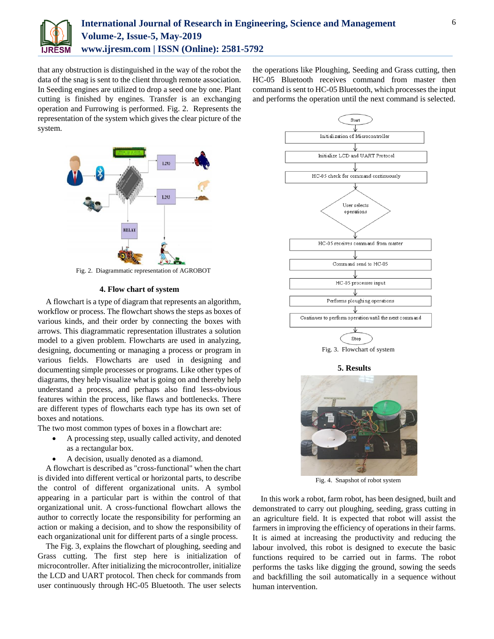

that any obstruction is distinguished in the way of the robot the data of the snag is sent to the client through remote association. In Seeding engines are utilized to drop a seed one by one. Plant cutting is finished by engines. Transfer is an exchanging operation and Furrowing is performed. Fig. 2. Represents the representation of the system which gives the clear picture of the system.

the operations like Ploughing, Seeding and Grass cutting, then HC-05 Bluetooth receives command from master then command is sent to HC-05 Bluetooth, which processes the input and performs the operation until the next command is selected.



Fig. 2. Diagrammatic representation of AGROBOT

## **4. Flow chart of system**

A flowchart is a type of diagram that represents an algorithm, workflow or process. The flowchart shows the steps as boxes of various kinds, and their order by connecting the boxes with arrows. This diagrammatic representation illustrates a solution model to a given problem. Flowcharts are used in analyzing, designing, documenting or managing a process or program in various fields. Flowcharts are used in designing and documenting simple processes or programs. Like other types of diagrams, they help visualize what is going on and thereby help understand a process, and perhaps also find less-obvious features within the process, like flaws and bottlenecks. There are different types of flowcharts each type has its own set of boxes and notations.

The two most common types of boxes in a flowchart are:

- A processing step, usually called activity, and denoted as a rectangular box.
- A decision, usually denoted as a diamond.

A flowchart is described as "cross-functional" when the chart is divided into different vertical or horizontal parts, to describe the control of different organizational units. A symbol appearing in a particular part is within the control of that organizational unit. A cross-functional flowchart allows the author to correctly locate the responsibility for performing an action or making a decision, and to show the responsibility of each organizational unit for different parts of a single process.

The Fig. 3, explains the flowchart of ploughing, seeding and Grass cutting. The first step here is initialization of microcontroller. After initializing the microcontroller, initialize the LCD and UART protocol. Then check for commands from user continuously through HC-05 Bluetooth. The user selects



Fig. 3. Flowchart of system

#### **5. Results**



Fig. 4. Snapshot of robot system

In this work a robot, farm robot, has been designed, built and demonstrated to carry out ploughing, seeding, grass cutting in an agriculture field. It is expected that robot will assist the farmers in improving the efficiency of operations in their farms. It is aimed at increasing the productivity and reducing the labour involved, this robot is designed to execute the basic functions required to be carried out in farms. The robot performs the tasks like digging the ground, sowing the seeds and backfilling the soil automatically in a sequence without human intervention.